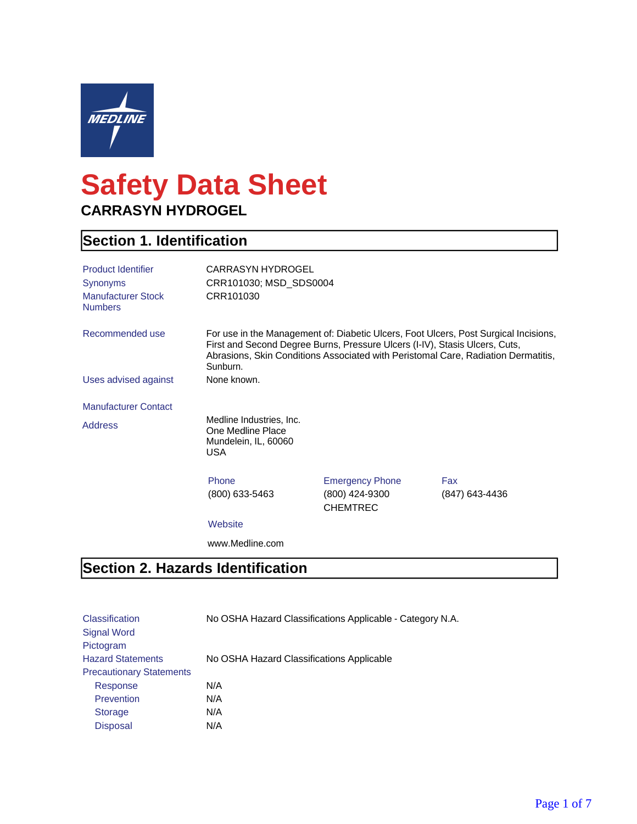

# **Safety Data Sheet CARRASYN HYDROGEL**

### **Section 1. Identification**

| <b>Product Identifier</b><br>Synonyms<br><b>Manufacturer Stock</b><br><b>Numbers</b> | CARRASYN HYDROGEL<br>CRR101030; MSD_SDS0004<br>CRR101030                                                                                                                                                                                                             |                                                             |                       |
|--------------------------------------------------------------------------------------|----------------------------------------------------------------------------------------------------------------------------------------------------------------------------------------------------------------------------------------------------------------------|-------------------------------------------------------------|-----------------------|
| Recommended use                                                                      | For use in the Management of: Diabetic Ulcers, Foot Ulcers, Post Surgical Incisions,<br>First and Second Degree Burns, Pressure Ulcers (I-IV), Stasis Ulcers, Cuts,<br>Abrasions, Skin Conditions Associated with Peristomal Care, Radiation Dermatitis,<br>Sunburn. |                                                             |                       |
| Uses advised against                                                                 | None known.                                                                                                                                                                                                                                                          |                                                             |                       |
| <b>Manufacturer Contact</b>                                                          |                                                                                                                                                                                                                                                                      |                                                             |                       |
| <b>Address</b>                                                                       | Medline Industries, Inc.<br>One Medline Place<br>Mundelein, IL, 60060<br>USA                                                                                                                                                                                         |                                                             |                       |
|                                                                                      | Phone<br>(800) 633-5463                                                                                                                                                                                                                                              | <b>Emergency Phone</b><br>(800) 424-9300<br><b>CHEMTREC</b> | Fax<br>(847) 643-4436 |
|                                                                                      | Website                                                                                                                                                                                                                                                              |                                                             |                       |
|                                                                                      | www.Medline.com                                                                                                                                                                                                                                                      |                                                             |                       |

#### **Section 2. Hazards Identification**

| <b>Classification</b>           | No OSHA Hazard Classifications Applicable - Category N.A. |
|---------------------------------|-----------------------------------------------------------|
| Signal Word                     |                                                           |
| Pictogram                       |                                                           |
| <b>Hazard Statements</b>        | No OSHA Hazard Classifications Applicable                 |
| <b>Precautionary Statements</b> |                                                           |
| Response                        | N/A                                                       |
| <b>Prevention</b>               | N/A                                                       |
| <b>Storage</b>                  | N/A                                                       |
| <b>Disposal</b>                 | N/A                                                       |
|                                 |                                                           |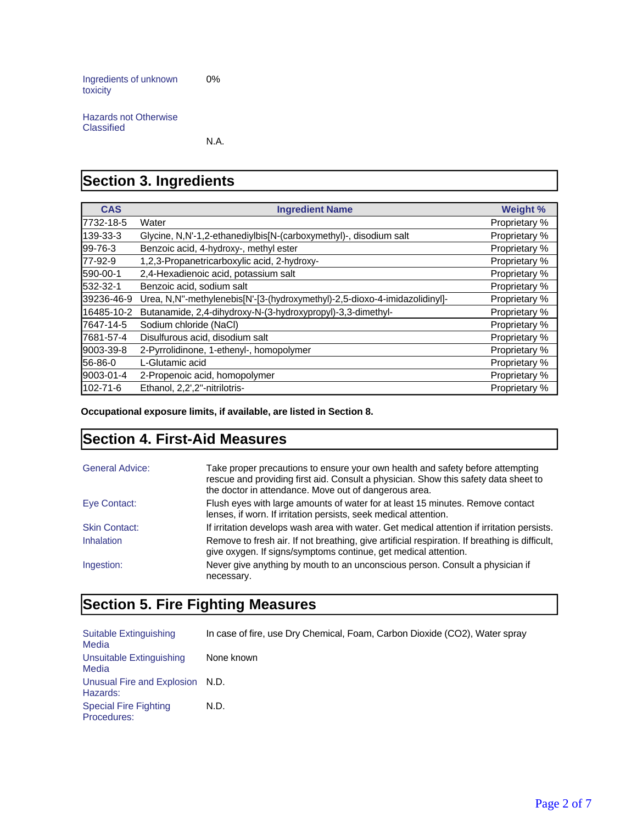Ingredients of unknown toxicity 0%

Hazards not Otherwise Classified

N.A.

### **Section 3. Ingredients**

| <b>CAS</b>     | <b>Ingredient Name</b>                                                     | Weight %      |
|----------------|----------------------------------------------------------------------------|---------------|
| 17732-18-5     | Water                                                                      | Proprietary % |
| 139-33-3       | Glycine, N,N'-1,2-ethanediylbis[N-(carboxymethyl)-, disodium salt          | Proprietary % |
| $199 - 76 - 3$ | Benzoic acid, 4-hydroxy-, methyl ester                                     | Proprietary % |
| 177-92-9       | 1,2,3-Propanetricarboxylic acid, 2-hydroxy-                                | Proprietary % |
| 590-00-1       | 2,4-Hexadienoic acid, potassium salt                                       | Proprietary % |
| 532-32-1       | Benzoic acid, sodium salt                                                  | Proprietary % |
| 39236-46-9     | Urea, N,N"-methylenebis[N'-[3-(hydroxymethyl)-2,5-dioxo-4-imidazolidinyl]- | Proprietary % |
| 16485-10-2     | Butanamide, 2,4-dihydroxy-N-(3-hydroxypropyl)-3,3-dimethyl-                | Proprietary % |
| 17647-14-5     | Sodium chloride (NaCl)                                                     | Proprietary % |
| 17681-57-4     | Disulfurous acid, disodium salt                                            | Proprietary % |
| 9003-39-8      | 2-Pyrrolidinone, 1-ethenyl-, homopolymer                                   | Proprietary % |
| <b>56-86-0</b> | L-Glutamic acid                                                            | Proprietary % |
| 9003-01-4      | 2-Propenoic acid, homopolymer                                              | Proprietary % |
| 102-71-6       | Ethanol, 2,2',2"-nitrilotris-                                              | Proprietary % |

**Occupational exposure limits, if available, are listed in Section 8.**

#### **Section 4. First-Aid Measures**

| <b>General Advice:</b> | Take proper precautions to ensure your own health and safety before attempting<br>rescue and providing first aid. Consult a physician. Show this safety data sheet to<br>the doctor in attendance. Move out of dangerous area. |
|------------------------|--------------------------------------------------------------------------------------------------------------------------------------------------------------------------------------------------------------------------------|
| Eye Contact:           | Flush eyes with large amounts of water for at least 15 minutes. Remove contact<br>lenses, if worn. If irritation persists, seek medical attention.                                                                             |
| <b>Skin Contact:</b>   | If irritation develops wash area with water. Get medical attention if irritation persists.                                                                                                                                     |
| <b>Inhalation</b>      | Remove to fresh air. If not breathing, give artificial respiration. If breathing is difficult,<br>give oxygen. If signs/symptoms continue, get medical attention.                                                              |
| Ingestion:             | Never give anything by mouth to an unconscious person. Consult a physician if<br>necessary.                                                                                                                                    |

### **Section 5. Fire Fighting Measures**

| Suitable Extinguishing<br>Media             | In case of fire, use Dry Chemical, Foam, Carbon Dioxide (CO2), Water spray |
|---------------------------------------------|----------------------------------------------------------------------------|
| Unsuitable Extinguishing<br>Media           | None known                                                                 |
| Unusual Fire and Explosion N.D.<br>Hazards: |                                                                            |
| <b>Special Fire Fighting</b><br>Procedures: | N.D.                                                                       |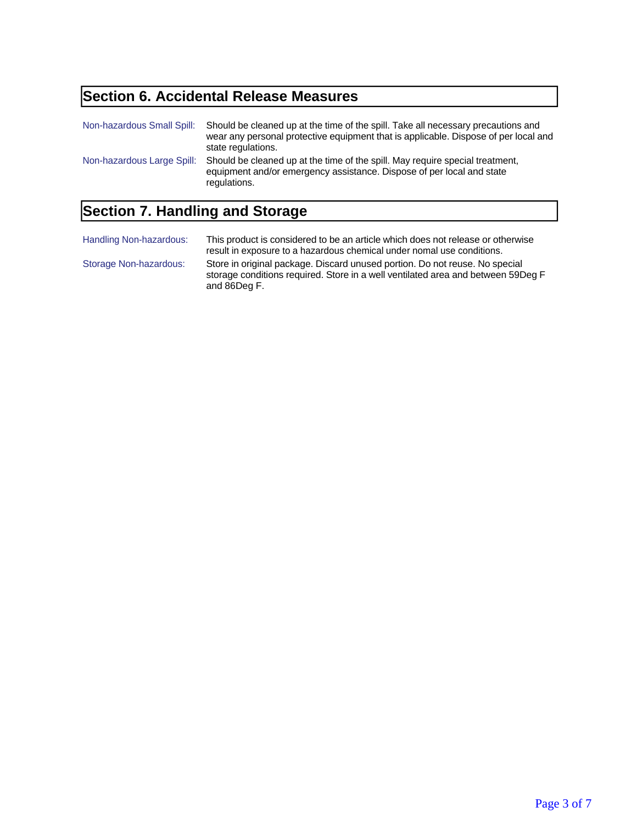## **Section 6. Accidental Release Measures**

| Non-hazardous Small Spill: | Should be cleaned up at the time of the spill. Take all necessary precautions and<br>wear any personal protective equipment that is applicable. Dispose of per local and<br>state regulations. |
|----------------------------|------------------------------------------------------------------------------------------------------------------------------------------------------------------------------------------------|
| Non-hazardous Large Spill: | Should be cleaned up at the time of the spill. May require special treatment,<br>equipment and/or emergency assistance. Dispose of per local and state<br>regulations.                         |

## **Section 7. Handling and Storage**

| Handling Non-hazardous: | This product is considered to be an article which does not release or otherwise<br>result in exposure to a hazardous chemical under nomal use conditions.                       |
|-------------------------|---------------------------------------------------------------------------------------------------------------------------------------------------------------------------------|
| Storage Non-hazardous:  | Store in original package. Discard unused portion. Do not reuse. No special<br>storage conditions required. Store in a well ventilated area and between 59Deg F<br>and 86Deg F. |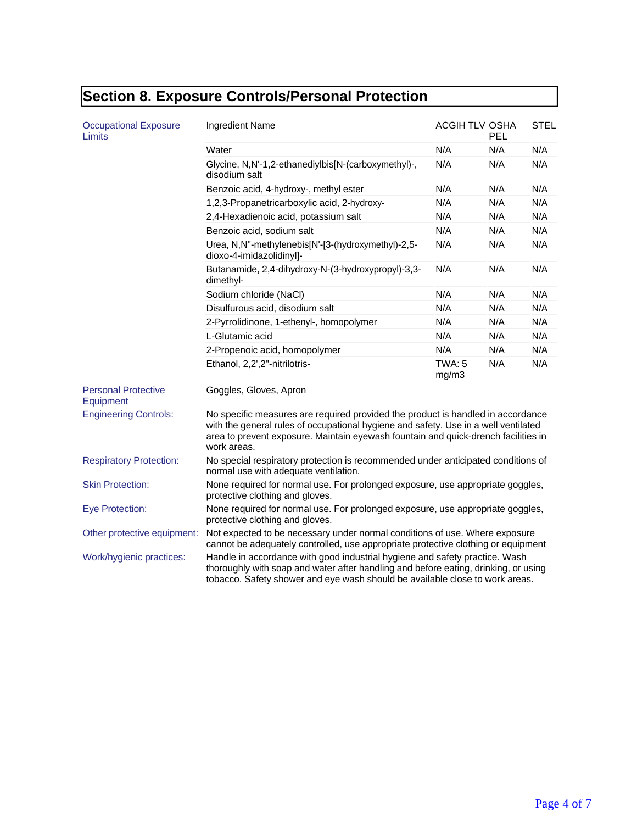## **Section 8. Exposure Controls/Personal Protection**

| <b>Occupational Exposure</b><br>Limits  | Ingredient Name                                                                                                                                                                                                                                                             | ACGIH TLV OSHA         | PEL | <b>STEL</b> |
|-----------------------------------------|-----------------------------------------------------------------------------------------------------------------------------------------------------------------------------------------------------------------------------------------------------------------------------|------------------------|-----|-------------|
|                                         | Water                                                                                                                                                                                                                                                                       | N/A                    | N/A | N/A         |
|                                         | Glycine, N,N'-1,2-ethanediylbis[N-(carboxymethyl)-,<br>disodium salt                                                                                                                                                                                                        | N/A                    | N/A | N/A         |
|                                         | Benzoic acid, 4-hydroxy-, methyl ester                                                                                                                                                                                                                                      | N/A                    | N/A | N/A         |
|                                         | 1,2,3-Propanetricarboxylic acid, 2-hydroxy-                                                                                                                                                                                                                                 | N/A                    | N/A | N/A         |
|                                         | 2,4-Hexadienoic acid, potassium salt                                                                                                                                                                                                                                        | N/A                    | N/A | N/A         |
|                                         | Benzoic acid, sodium salt                                                                                                                                                                                                                                                   | N/A                    | N/A | N/A         |
|                                         | Urea, N,N"-methylenebis[N'-[3-(hydroxymethyl)-2,5-<br>dioxo-4-imidazolidinyl]-                                                                                                                                                                                              | N/A                    | N/A | N/A         |
|                                         | Butanamide, 2,4-dihydroxy-N-(3-hydroxypropyl)-3,3-<br>dimethyl-                                                                                                                                                                                                             | N/A                    | N/A | N/A         |
|                                         | Sodium chloride (NaCl)                                                                                                                                                                                                                                                      | N/A                    | N/A | N/A         |
|                                         | Disulfurous acid, disodium salt                                                                                                                                                                                                                                             | N/A                    | N/A | N/A         |
|                                         | 2-Pyrrolidinone, 1-ethenyl-, homopolymer                                                                                                                                                                                                                                    | N/A                    | N/A | N/A         |
|                                         | L-Glutamic acid                                                                                                                                                                                                                                                             | N/A                    | N/A | N/A         |
|                                         | 2-Propenoic acid, homopolymer                                                                                                                                                                                                                                               | N/A                    | N/A | N/A         |
|                                         | Ethanol, 2,2',2"-nitrilotris-                                                                                                                                                                                                                                               | <b>TWA: 5</b><br>mg/m3 | N/A | N/A         |
| <b>Personal Protective</b><br>Equipment | Goggles, Gloves, Apron                                                                                                                                                                                                                                                      |                        |     |             |
| <b>Engineering Controls:</b>            | No specific measures are required provided the product is handled in accordance<br>with the general rules of occupational hygiene and safety. Use in a well ventilated<br>area to prevent exposure. Maintain eyewash fountain and quick-drench facilities in<br>work areas. |                        |     |             |
| <b>Respiratory Protection:</b>          | No special respiratory protection is recommended under anticipated conditions of<br>normal use with adequate ventilation.                                                                                                                                                   |                        |     |             |
| <b>Skin Protection:</b>                 | None required for normal use. For prolonged exposure, use appropriate goggles,<br>protective clothing and gloves.                                                                                                                                                           |                        |     |             |
| <b>Eye Protection:</b>                  | None required for normal use. For prolonged exposure, use appropriate goggles,<br>protective clothing and gloves.                                                                                                                                                           |                        |     |             |
| Other protective equipment:             | Not expected to be necessary under normal conditions of use. Where exposure<br>cannot be adequately controlled, use appropriate protective clothing or equipment                                                                                                            |                        |     |             |
| Work/hygienic practices:                | Handle in accordance with good industrial hygiene and safety practice. Wash<br>thoroughly with soap and water after handling and before eating, drinking, or using<br>tobacco. Safety shower and eye wash should be available close to work areas.                          |                        |     |             |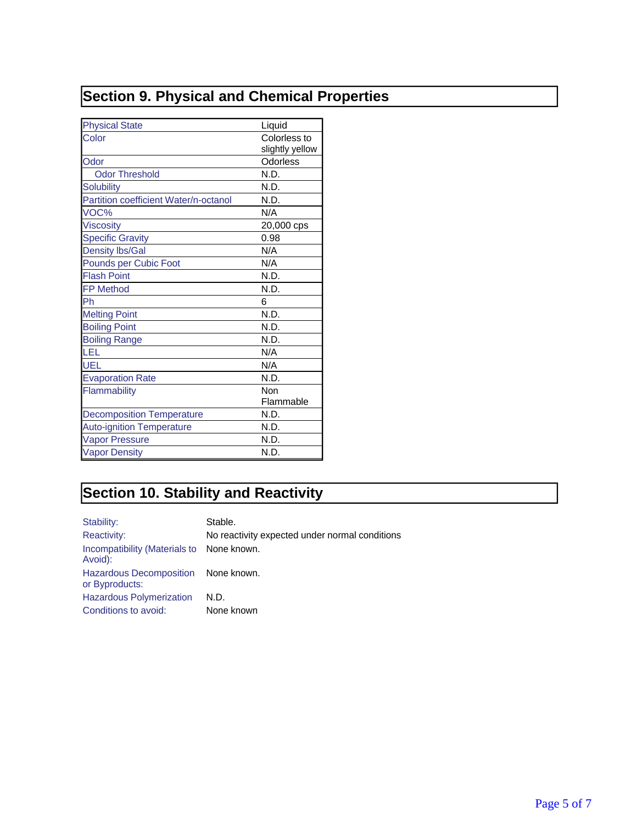## **Section 9. Physical and Chemical Properties**

| <b>Physical State</b>                 | Liquid          |
|---------------------------------------|-----------------|
| Color                                 | Colorless to    |
|                                       | slightly yellow |
| Odor                                  | Odorless        |
| <b>Odor Threshold</b>                 | N.D.            |
| <b>Solubility</b>                     | N.D.            |
| Partition coefficient Water/n-octanol | N.D.            |
| VOC%                                  | N/A             |
| <b>Viscosity</b>                      | 20,000 cps      |
| <b>Specific Gravity</b>               | 0.98            |
| <b>Density lbs/Gal</b>                | N/A             |
| Pounds per Cubic Foot                 | N/A             |
| <b>Flash Point</b>                    | N.D.            |
| <b>FP Method</b>                      | N.D.            |
| Ph                                    | 6               |
| <b>Melting Point</b>                  | N.D.            |
| <b>Boiling Point</b>                  | N.D.            |
| <b>Boiling Range</b>                  | N.D.            |
| LEL                                   | N/A             |
| UEL                                   | N/A             |
| <b>Evaporation Rate</b>               | N.D.            |
| Flammability                          | Non             |
|                                       | Flammable       |
| <b>Decomposition Temperature</b>      | N.D.            |
| <b>Auto-ignition Temperature</b>      | N.D.            |
| <b>Vapor Pressure</b>                 | N.D.            |
| <b>Vapor Density</b>                  | N.D.            |

## **Section 10. Stability and Reactivity**

| Stability:                                            | Stable.                                        |
|-------------------------------------------------------|------------------------------------------------|
| <b>Reactivity:</b>                                    | No reactivity expected under normal conditions |
| Incompatibility (Materials to None known.<br>Avoid):  |                                                |
| Hazardous Decomposition None known.<br>or Byproducts: |                                                |
| <b>Hazardous Polymerization</b>                       | N.D.                                           |
| Conditions to avoid:                                  | None known                                     |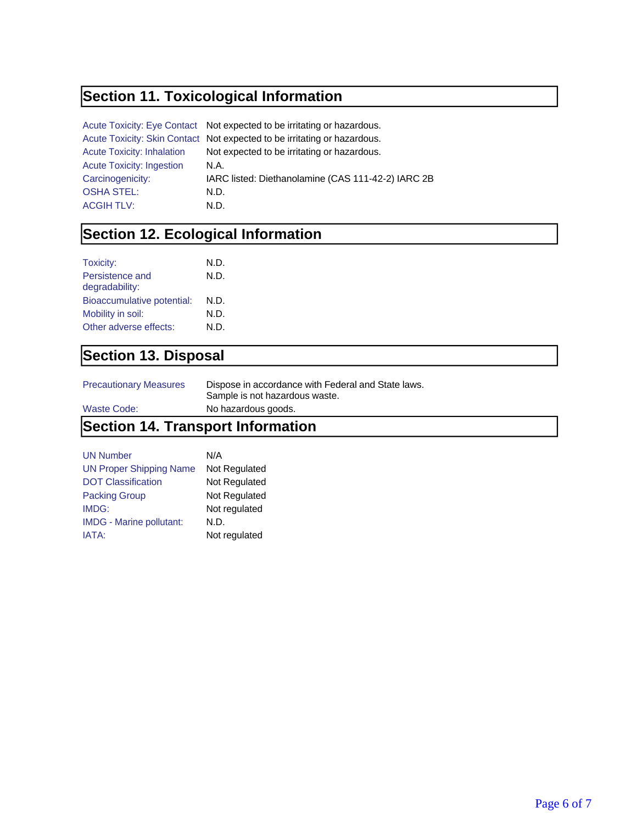### **Section 11. Toxicological Information**

|                                   | Acute Toxicity: Eye Contact Not expected to be irritating or hazardous.  |
|-----------------------------------|--------------------------------------------------------------------------|
|                                   | Acute Toxicity: Skin Contact Not expected to be irritating or hazardous. |
| <b>Acute Toxicity: Inhalation</b> | Not expected to be irritating or hazardous.                              |
| <b>Acute Toxicity: Ingestion</b>  | N.A.                                                                     |
| Carcinogenicity:                  | IARC listed: Diethanolamine (CAS 111-42-2) IARC 2B                       |
| <b>OSHA STEL:</b>                 | N.D.                                                                     |
| <b>ACGIH TLV:</b>                 | N.D.                                                                     |

### **Section 12. Ecological Information**

| Toxicity:<br>Persistence and<br>degradability: | N.D.<br>N.D. |
|------------------------------------------------|--------------|
| Bioaccumulative potential:                     | N.D.         |
| Mobility in soil:                              | N.D.         |
| Other adverse effects:                         | N.D.         |

### **Section 13. Disposal**

| <b>Precautionary Measures</b> | Dispose in accordance with Federal and State laws. |
|-------------------------------|----------------------------------------------------|
|                               | Sample is not hazardous waste.                     |

Waste Code: No hazardous goods.

### **Section 14. Transport Information**

| <b>UN Number</b>                | N/A           |
|---------------------------------|---------------|
| <b>UN Proper Shipping Name</b>  | Not Regulated |
| <b>DOT Classification</b>       | Not Regulated |
| <b>Packing Group</b>            | Not Regulated |
| IMDG:                           | Not regulated |
| <b>IMDG - Marine pollutant:</b> | N.D.          |
| IATA:                           | Not regulated |